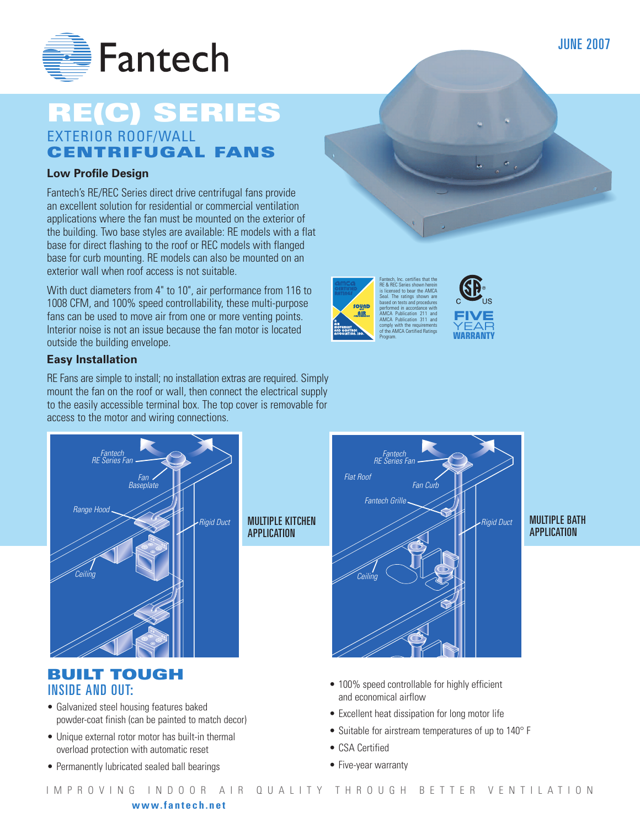

## **RE(C) SERIES** EXTERIOR ROOF/WALL **CENTRIFUGAL FANS**

#### **Low Profile Design**

Fantech's RE/REC Series direct drive centrifugal fans provide an excellent solution for residential or commercial ventilation applications where the fan must be mounted on the exterior of the building. Two base styles are available: RE models with a flat base for direct flashing to the roof or REC models with flanged base for curb mounting. RE models can also be mounted on an exterior wall when roof access is not suitable.

With duct diameters from 4" to 10", air performance from 116 to 1008 CFM, and 100% speed controllability, these multi-purpose fans can be used to move air from one or more venting points. Interior noise is not an issue because the fan motor is located outside the building envelope.

#### **Easy Installation**

RE Fans are simple to install; no installation extras are required. Simply mount the fan on the roof or wall, then connect the electrical supply to the easily accessible terminal box. The top cover is removable for access to the motor and wiring connections.



APPLICATION

MULTIPLE KITCHEN

## **BUILT TOUGH** INSIDE AND OUT:

- Galvanized steel housing features baked powder-coat finish (can be painted to match decor)
- Unique external rotor motor has built-in thermal overload protection with automatic reset
- Permanently lubricated sealed ball bearings



Fantech, Inc. certifies that the RE & REC Series shown herein is licensed to bear the AMCA Seal. The ratings shown are based on tests and procedures performed in accordance with AMCA Publication 211 and AMCA Publication 311 and comply with the requirements of the AMCA Certified Ratings

**FIVE YEAR WARRANTY**

Program.

**AIR** 

#### MULTIPLE BATH APPLICATION

- 100% speed controllable for highly efficient and economical airflow
- Excellent heat dissipation for long motor life
- Suitable for airstream temperatures of up to 140° F
- CSA Certified
- Five-year warranty

JUNE 2007

#### **www.fantech.net**